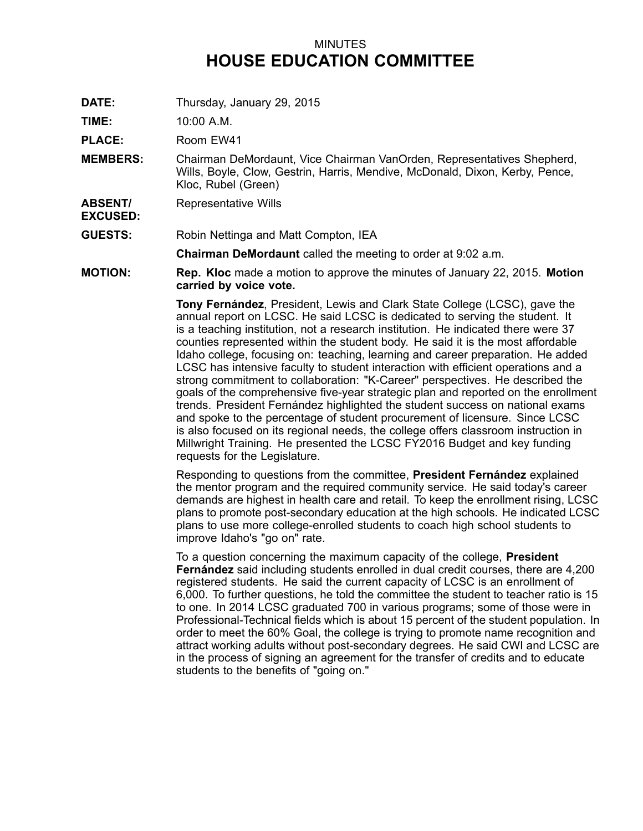## MINUTES **HOUSE EDUCATION COMMITTEE**

**DATE:** Thursday, January 29, 2015

**TIME:** 10:00 A.M.

**PLACE:** Room EW41

- **MEMBERS:** Chairman DeMordaunt, Vice Chairman VanOrden, Representatives Shepherd, Wills, Boyle, Clow, Gestrin, Harris, Mendive, McDonald, Dixon, Kerby, Pence, Kloc, Rubel (Green)
- **ABSENT/** Representative Wills

**EXCUSED:**

**GUESTS:** Robin Nettinga and Matt Compton, IEA

**Chairman DeMordaunt** called the meeting to order at 9:02 a.m.

**MOTION: Rep. Kloc** made <sup>a</sup> motion to approve the minutes of January 22, 2015. **Motion carried by voice vote.**

> **Tony Fernández**, President, Lewis and Clark State College (LCSC), gave the annual report on LCSC. He said LCSC is dedicated to serving the student. It is <sup>a</sup> teaching institution, not <sup>a</sup> research institution. He indicated there were 37 counties represented within the student body. He said it is the most affordable Idaho college, focusing on: teaching, learning and career preparation. He added LCSC has intensive faculty to student interaction with efficient operations and <sup>a</sup> strong commitment to collaboration: "K-Career" perspectives. He described the goals of the comprehensive five-year strategic plan and reported on the enrollment trends. President Fernández highlighted the student success on national exams and spoke to the percentage of student procurement of licensure. Since LCSC is also focused on its regional needs, the college offers classroom instruction in Millwright Training. He presented the LCSC FY2016 Budget and key funding requests for the Legislature.

> Responding to questions from the committee, **President Fernández** explained the mentor program and the required community service. He said today's career demands are highest in health care and retail. To keep the enrollment rising, LCSC plans to promote post-secondary education at the high schools. He indicated LCSC plans to use more college-enrolled students to coach high school students to improve Idaho's "go on" rate.

> To <sup>a</sup> question concerning the maximum capacity of the college, **President Fernández** said including students enrolled in dual credit courses, there are 4,200 registered students. He said the current capacity of LCSC is an enrollment of 6,000. To further questions, he told the committee the student to teacher ratio is 15 to one. In 2014 LCSC graduated 700 in various programs; some of those were in Professional-Technical fields which is about 15 percent of the student population. In order to meet the 60% Goal, the college is trying to promote name recognition and attract working adults without post-secondary degrees. He said CWI and LCSC are in the process of signing an agreement for the transfer of credits and to educate students to the benefits of "going on."